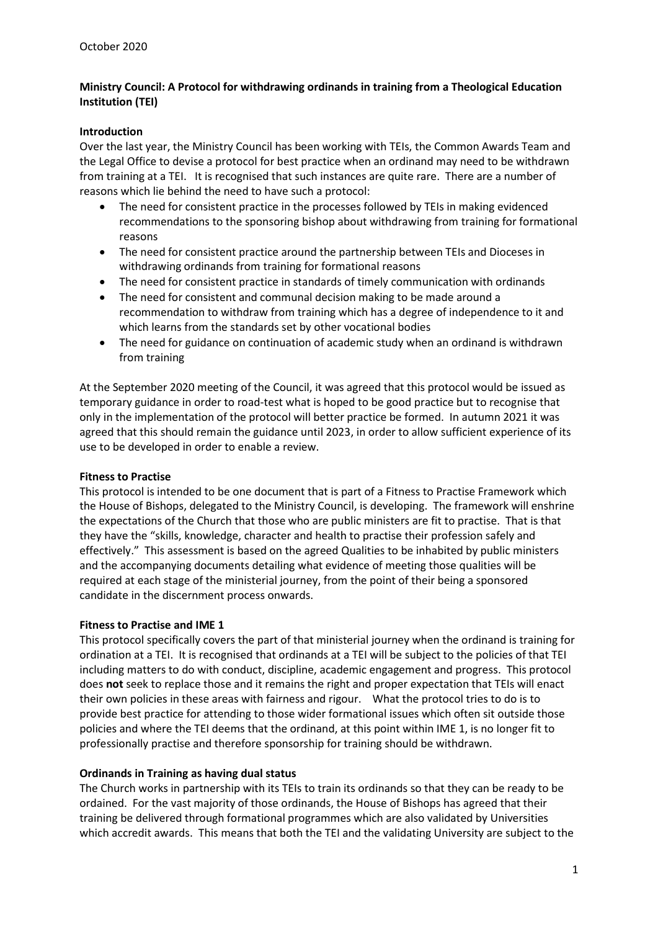# Ministry Council: A Protocol for withdrawing ordinands in training from a Theological Education Institution (TEI)

### Introduction

Over the last year, the Ministry Council has been working with TEIs, the Common Awards Team and the Legal Office to devise a protocol for best practice when an ordinand may need to be withdrawn from training at a TEI. It is recognised that such instances are quite rare. There are a number of reasons which lie behind the need to have such a protocol:

- The need for consistent practice in the processes followed by TEIs in making evidenced recommendations to the sponsoring bishop about withdrawing from training for formational reasons
- The need for consistent practice around the partnership between TEIs and Dioceses in withdrawing ordinands from training for formational reasons
- The need for consistent practice in standards of timely communication with ordinands
- The need for consistent and communal decision making to be made around a recommendation to withdraw from training which has a degree of independence to it and which learns from the standards set by other vocational bodies
- The need for guidance on continuation of academic study when an ordinand is withdrawn from training

At the September 2020 meeting of the Council, it was agreed that this protocol would be issued as temporary guidance in order to road-test what is hoped to be good practice but to recognise that only in the implementation of the protocol will better practice be formed. In autumn 2021 it was agreed that this should remain the guidance until 2023, in order to allow sufficient experience of its use to be developed in order to enable a review.

### Fitness to Practise

This protocol is intended to be one document that is part of a Fitness to Practise Framework which the House of Bishops, delegated to the Ministry Council, is developing. The framework will enshrine the expectations of the Church that those who are public ministers are fit to practise. That is that they have the "skills, knowledge, character and health to practise their profession safely and effectively." This assessment is based on the agreed Qualities to be inhabited by public ministers and the accompanying documents detailing what evidence of meeting those qualities will be required at each stage of the ministerial journey, from the point of their being a sponsored candidate in the discernment process onwards.

### Fitness to Practise and IME 1

This protocol specifically covers the part of that ministerial journey when the ordinand is training for ordination at a TEI. It is recognised that ordinands at a TEI will be subject to the policies of that TEI including matters to do with conduct, discipline, academic engagement and progress. This protocol does not seek to replace those and it remains the right and proper expectation that TEIs will enact their own policies in these areas with fairness and rigour. What the protocol tries to do is to provide best practice for attending to those wider formational issues which often sit outside those policies and where the TEI deems that the ordinand, at this point within IME 1, is no longer fit to professionally practise and therefore sponsorship for training should be withdrawn.

### Ordinands in Training as having dual status

The Church works in partnership with its TEIs to train its ordinands so that they can be ready to be ordained. For the vast majority of those ordinands, the House of Bishops has agreed that their training be delivered through formational programmes which are also validated by Universities which accredit awards. This means that both the TEI and the validating University are subject to the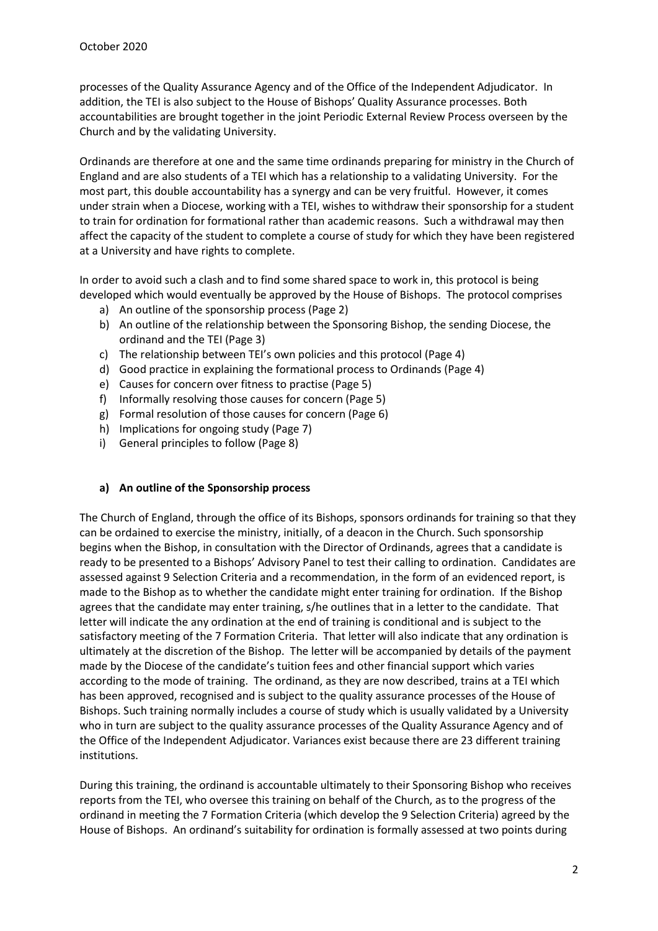processes of the Quality Assurance Agency and of the Office of the Independent Adjudicator. In addition, the TEI is also subject to the House of Bishops' Quality Assurance processes. Both accountabilities are brought together in the joint Periodic External Review Process overseen by the Church and by the validating University.

Ordinands are therefore at one and the same time ordinands preparing for ministry in the Church of England and are also students of a TEI which has a relationship to a validating University. For the most part, this double accountability has a synergy and can be very fruitful. However, it comes under strain when a Diocese, working with a TEI, wishes to withdraw their sponsorship for a student to train for ordination for formational rather than academic reasons. Such a withdrawal may then affect the capacity of the student to complete a course of study for which they have been registered at a University and have rights to complete.

In order to avoid such a clash and to find some shared space to work in, this protocol is being developed which would eventually be approved by the House of Bishops. The protocol comprises

- a) An outline of the sponsorship process (Page 2)
- b) An outline of the relationship between the Sponsoring Bishop, the sending Diocese, the ordinand and the TEI (Page 3)
- c) The relationship between TEI's own policies and this protocol (Page 4)
- d) Good practice in explaining the formational process to Ordinands (Page 4)
- e) Causes for concern over fitness to practise (Page 5)
- f) Informally resolving those causes for concern (Page 5)
- g) Formal resolution of those causes for concern (Page 6)
- h) Implications for ongoing study (Page 7)
- i) General principles to follow (Page 8)

### a) An outline of the Sponsorship process

The Church of England, through the office of its Bishops, sponsors ordinands for training so that they can be ordained to exercise the ministry, initially, of a deacon in the Church. Such sponsorship begins when the Bishop, in consultation with the Director of Ordinands, agrees that a candidate is ready to be presented to a Bishops' Advisory Panel to test their calling to ordination. Candidates are assessed against 9 Selection Criteria and a recommendation, in the form of an evidenced report, is made to the Bishop as to whether the candidate might enter training for ordination. If the Bishop agrees that the candidate may enter training, s/he outlines that in a letter to the candidate. That letter will indicate the any ordination at the end of training is conditional and is subject to the satisfactory meeting of the 7 Formation Criteria. That letter will also indicate that any ordination is ultimately at the discretion of the Bishop. The letter will be accompanied by details of the payment made by the Diocese of the candidate's tuition fees and other financial support which varies according to the mode of training. The ordinand, as they are now described, trains at a TEI which has been approved, recognised and is subject to the quality assurance processes of the House of Bishops. Such training normally includes a course of study which is usually validated by a University who in turn are subject to the quality assurance processes of the Quality Assurance Agency and of the Office of the Independent Adjudicator. Variances exist because there are 23 different training institutions.

During this training, the ordinand is accountable ultimately to their Sponsoring Bishop who receives reports from the TEI, who oversee this training on behalf of the Church, as to the progress of the ordinand in meeting the 7 Formation Criteria (which develop the 9 Selection Criteria) agreed by the House of Bishops. An ordinand's suitability for ordination is formally assessed at two points during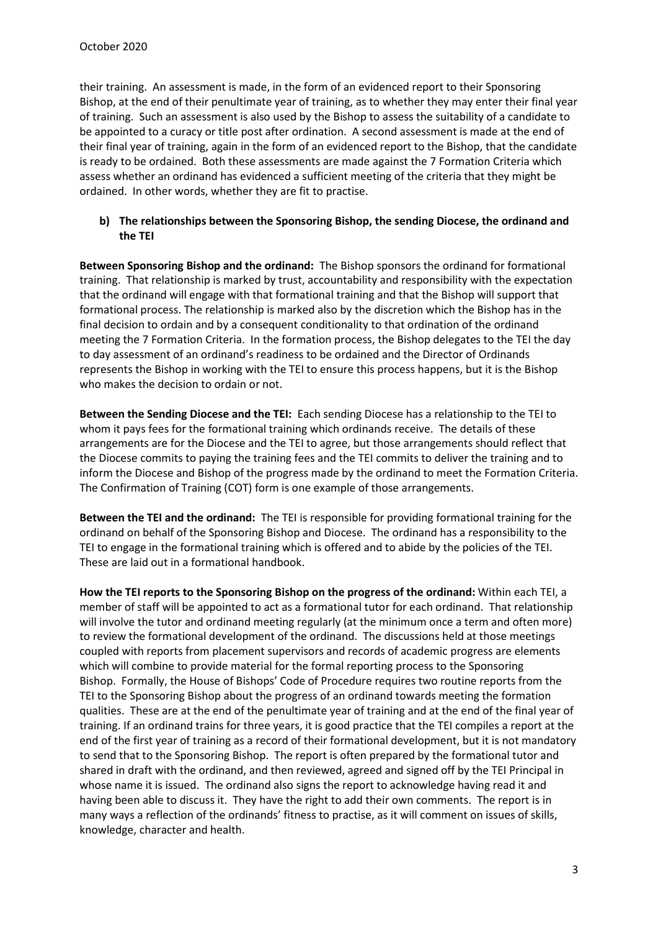their training. An assessment is made, in the form of an evidenced report to their Sponsoring Bishop, at the end of their penultimate year of training, as to whether they may enter their final year of training. Such an assessment is also used by the Bishop to assess the suitability of a candidate to be appointed to a curacy or title post after ordination. A second assessment is made at the end of their final year of training, again in the form of an evidenced report to the Bishop, that the candidate is ready to be ordained. Both these assessments are made against the 7 Formation Criteria which assess whether an ordinand has evidenced a sufficient meeting of the criteria that they might be ordained. In other words, whether they are fit to practise.

# b) The relationships between the Sponsoring Bishop, the sending Diocese, the ordinand and the TEI

Between Sponsoring Bishop and the ordinand: The Bishop sponsors the ordinand for formational training. That relationship is marked by trust, accountability and responsibility with the expectation that the ordinand will engage with that formational training and that the Bishop will support that formational process. The relationship is marked also by the discretion which the Bishop has in the final decision to ordain and by a consequent conditionality to that ordination of the ordinand meeting the 7 Formation Criteria. In the formation process, the Bishop delegates to the TEI the day to day assessment of an ordinand's readiness to be ordained and the Director of Ordinands represents the Bishop in working with the TEI to ensure this process happens, but it is the Bishop who makes the decision to ordain or not.

Between the Sending Diocese and the TEI: Each sending Diocese has a relationship to the TEI to whom it pays fees for the formational training which ordinands receive. The details of these arrangements are for the Diocese and the TEI to agree, but those arrangements should reflect that the Diocese commits to paying the training fees and the TEI commits to deliver the training and to inform the Diocese and Bishop of the progress made by the ordinand to meet the Formation Criteria. The Confirmation of Training (COT) form is one example of those arrangements.

Between the TEI and the ordinand: The TEI is responsible for providing formational training for the ordinand on behalf of the Sponsoring Bishop and Diocese. The ordinand has a responsibility to the TEI to engage in the formational training which is offered and to abide by the policies of the TEI. These are laid out in a formational handbook.

How the TEI reports to the Sponsoring Bishop on the progress of the ordinand: Within each TEI, a member of staff will be appointed to act as a formational tutor for each ordinand. That relationship will involve the tutor and ordinand meeting regularly (at the minimum once a term and often more) to review the formational development of the ordinand. The discussions held at those meetings coupled with reports from placement supervisors and records of academic progress are elements which will combine to provide material for the formal reporting process to the Sponsoring Bishop. Formally, the House of Bishops' Code of Procedure requires two routine reports from the TEI to the Sponsoring Bishop about the progress of an ordinand towards meeting the formation qualities. These are at the end of the penultimate year of training and at the end of the final year of training. If an ordinand trains for three years, it is good practice that the TEI compiles a report at the end of the first year of training as a record of their formational development, but it is not mandatory to send that to the Sponsoring Bishop. The report is often prepared by the formational tutor and shared in draft with the ordinand, and then reviewed, agreed and signed off by the TEI Principal in whose name it is issued. The ordinand also signs the report to acknowledge having read it and having been able to discuss it. They have the right to add their own comments. The report is in many ways a reflection of the ordinands' fitness to practise, as it will comment on issues of skills, knowledge, character and health.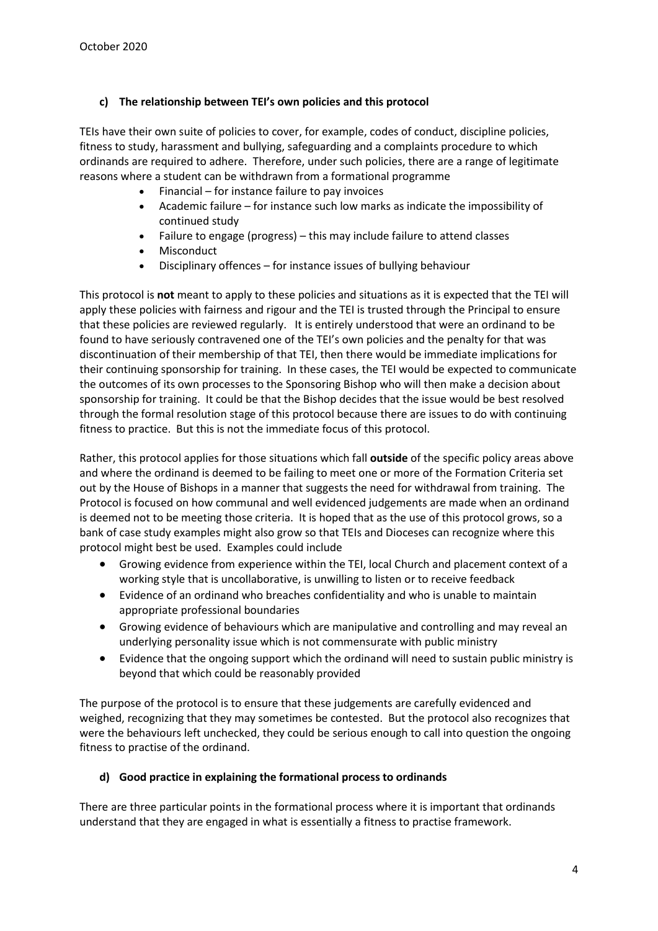# c) The relationship between TEI's own policies and this protocol

TEIs have their own suite of policies to cover, for example, codes of conduct, discipline policies, fitness to study, harassment and bullying, safeguarding and a complaints procedure to which ordinands are required to adhere. Therefore, under such policies, there are a range of legitimate reasons where a student can be withdrawn from a formational programme

- Financial for instance failure to pay invoices
- Academic failure for instance such low marks as indicate the impossibility of continued study
- Failure to engage (progress) this may include failure to attend classes
- Misconduct
- Disciplinary offences for instance issues of bullying behaviour

This protocol is not meant to apply to these policies and situations as it is expected that the TEI will apply these policies with fairness and rigour and the TEI is trusted through the Principal to ensure that these policies are reviewed regularly. It is entirely understood that were an ordinand to be found to have seriously contravened one of the TEI's own policies and the penalty for that was discontinuation of their membership of that TEI, then there would be immediate implications for their continuing sponsorship for training. In these cases, the TEI would be expected to communicate the outcomes of its own processes to the Sponsoring Bishop who will then make a decision about sponsorship for training. It could be that the Bishop decides that the issue would be best resolved through the formal resolution stage of this protocol because there are issues to do with continuing fitness to practice. But this is not the immediate focus of this protocol.

Rather, this protocol applies for those situations which fall **outside** of the specific policy areas above and where the ordinand is deemed to be failing to meet one or more of the Formation Criteria set out by the House of Bishops in a manner that suggests the need for withdrawal from training. The Protocol is focused on how communal and well evidenced judgements are made when an ordinand is deemed not to be meeting those criteria. It is hoped that as the use of this protocol grows, so a bank of case study examples might also grow so that TEIs and Dioceses can recognize where this protocol might best be used. Examples could include

- Growing evidence from experience within the TEI, local Church and placement context of a working style that is uncollaborative, is unwilling to listen or to receive feedback
- Evidence of an ordinand who breaches confidentiality and who is unable to maintain appropriate professional boundaries
- Growing evidence of behaviours which are manipulative and controlling and may reveal an underlying personality issue which is not commensurate with public ministry
- Evidence that the ongoing support which the ordinand will need to sustain public ministry is beyond that which could be reasonably provided

The purpose of the protocol is to ensure that these judgements are carefully evidenced and weighed, recognizing that they may sometimes be contested. But the protocol also recognizes that were the behaviours left unchecked, they could be serious enough to call into question the ongoing fitness to practise of the ordinand.

# d) Good practice in explaining the formational process to ordinands

There are three particular points in the formational process where it is important that ordinands understand that they are engaged in what is essentially a fitness to practise framework.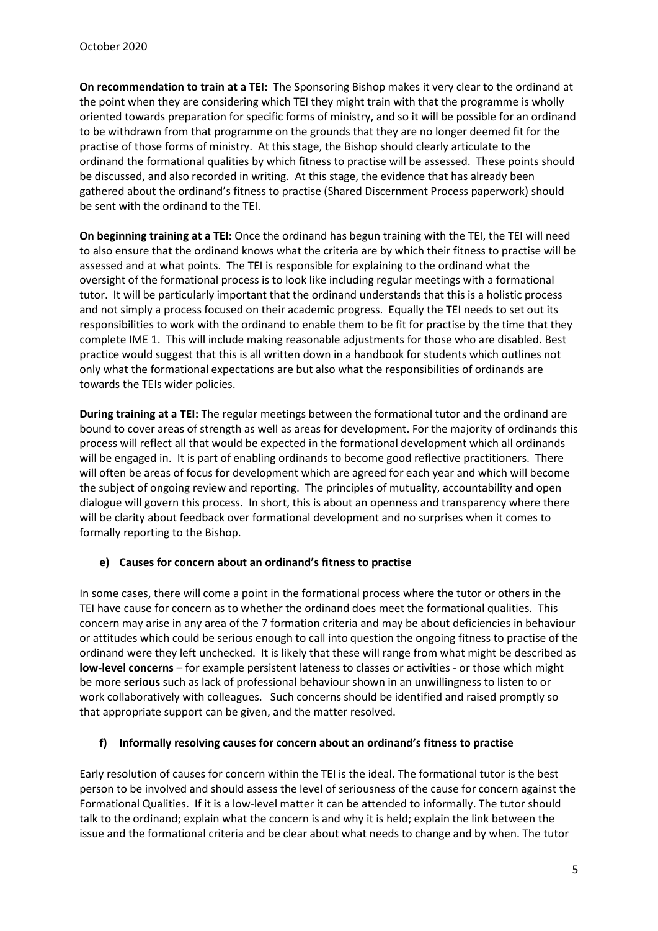On recommendation to train at a TEI: The Sponsoring Bishop makes it very clear to the ordinand at the point when they are considering which TEI they might train with that the programme is wholly oriented towards preparation for specific forms of ministry, and so it will be possible for an ordinand to be withdrawn from that programme on the grounds that they are no longer deemed fit for the practise of those forms of ministry. At this stage, the Bishop should clearly articulate to the ordinand the formational qualities by which fitness to practise will be assessed. These points should be discussed, and also recorded in writing. At this stage, the evidence that has already been gathered about the ordinand's fitness to practise (Shared Discernment Process paperwork) should be sent with the ordinand to the TEI.

On beginning training at a TEI: Once the ordinand has begun training with the TEI, the TEI will need to also ensure that the ordinand knows what the criteria are by which their fitness to practise will be assessed and at what points. The TEI is responsible for explaining to the ordinand what the oversight of the formational process is to look like including regular meetings with a formational tutor. It will be particularly important that the ordinand understands that this is a holistic process and not simply a process focused on their academic progress. Equally the TEI needs to set out its responsibilities to work with the ordinand to enable them to be fit for practise by the time that they complete IME 1. This will include making reasonable adjustments for those who are disabled. Best practice would suggest that this is all written down in a handbook for students which outlines not only what the formational expectations are but also what the responsibilities of ordinands are towards the TEIs wider policies.

During training at a TEI: The regular meetings between the formational tutor and the ordinand are bound to cover areas of strength as well as areas for development. For the majority of ordinands this process will reflect all that would be expected in the formational development which all ordinands will be engaged in. It is part of enabling ordinands to become good reflective practitioners. There will often be areas of focus for development which are agreed for each year and which will become the subject of ongoing review and reporting. The principles of mutuality, accountability and open dialogue will govern this process. In short, this is about an openness and transparency where there will be clarity about feedback over formational development and no surprises when it comes to formally reporting to the Bishop.

# e) Causes for concern about an ordinand's fitness to practise

In some cases, there will come a point in the formational process where the tutor or others in the TEI have cause for concern as to whether the ordinand does meet the formational qualities. This concern may arise in any area of the 7 formation criteria and may be about deficiencies in behaviour or attitudes which could be serious enough to call into question the ongoing fitness to practise of the ordinand were they left unchecked. It is likely that these will range from what might be described as low-level concerns – for example persistent lateness to classes or activities - or those which might be more serious such as lack of professional behaviour shown in an unwillingness to listen to or work collaboratively with colleagues. Such concerns should be identified and raised promptly so that appropriate support can be given, and the matter resolved.

# f) Informally resolving causes for concern about an ordinand's fitness to practise

Early resolution of causes for concern within the TEI is the ideal. The formational tutor is the best person to be involved and should assess the level of seriousness of the cause for concern against the Formational Qualities. If it is a low-level matter it can be attended to informally. The tutor should talk to the ordinand; explain what the concern is and why it is held; explain the link between the issue and the formational criteria and be clear about what needs to change and by when. The tutor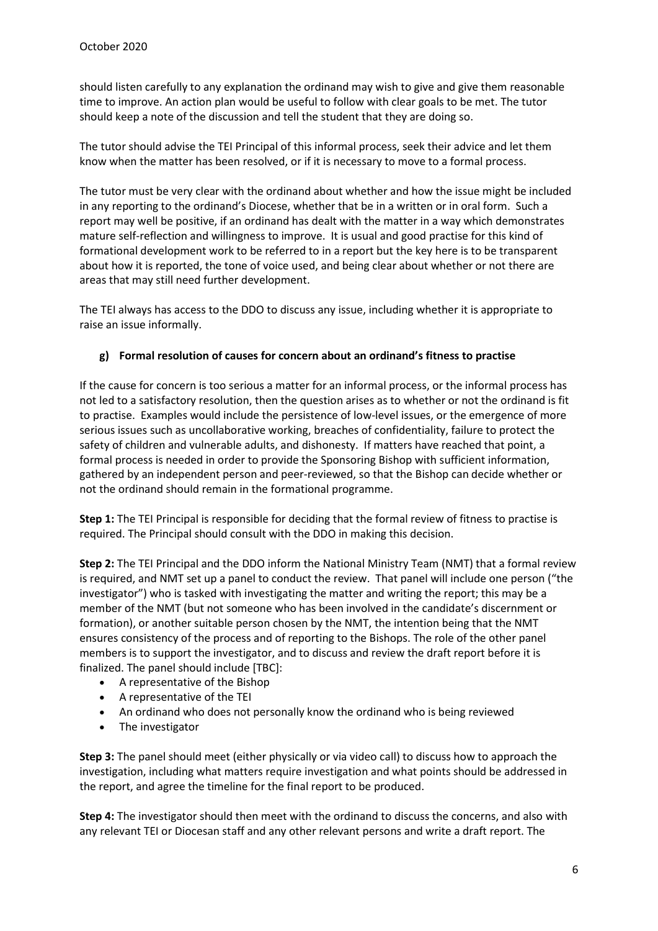should listen carefully to any explanation the ordinand may wish to give and give them reasonable time to improve. An action plan would be useful to follow with clear goals to be met. The tutor should keep a note of the discussion and tell the student that they are doing so.

The tutor should advise the TEI Principal of this informal process, seek their advice and let them know when the matter has been resolved, or if it is necessary to move to a formal process.

The tutor must be very clear with the ordinand about whether and how the issue might be included in any reporting to the ordinand's Diocese, whether that be in a written or in oral form. Such a report may well be positive, if an ordinand has dealt with the matter in a way which demonstrates mature self-reflection and willingness to improve. It is usual and good practise for this kind of formational development work to be referred to in a report but the key here is to be transparent about how it is reported, the tone of voice used, and being clear about whether or not there are areas that may still need further development.

The TEI always has access to the DDO to discuss any issue, including whether it is appropriate to raise an issue informally.

# g) Formal resolution of causes for concern about an ordinand's fitness to practise

If the cause for concern is too serious a matter for an informal process, or the informal process has not led to a satisfactory resolution, then the question arises as to whether or not the ordinand is fit to practise. Examples would include the persistence of low-level issues, or the emergence of more serious issues such as uncollaborative working, breaches of confidentiality, failure to protect the safety of children and vulnerable adults, and dishonesty. If matters have reached that point, a formal process is needed in order to provide the Sponsoring Bishop with sufficient information, gathered by an independent person and peer-reviewed, so that the Bishop can decide whether or not the ordinand should remain in the formational programme.

Step 1: The TEI Principal is responsible for deciding that the formal review of fitness to practise is required. The Principal should consult with the DDO in making this decision.

Step 2: The TEI Principal and the DDO inform the National Ministry Team (NMT) that a formal review is required, and NMT set up a panel to conduct the review. That panel will include one person ("the investigator") who is tasked with investigating the matter and writing the report; this may be a member of the NMT (but not someone who has been involved in the candidate's discernment or formation), or another suitable person chosen by the NMT, the intention being that the NMT ensures consistency of the process and of reporting to the Bishops. The role of the other panel members is to support the investigator, and to discuss and review the draft report before it is finalized. The panel should include [TBC]:

- A representative of the Bishop
- A representative of the TEI
- An ordinand who does not personally know the ordinand who is being reviewed
- The investigator

Step 3: The panel should meet (either physically or via video call) to discuss how to approach the investigation, including what matters require investigation and what points should be addressed in the report, and agree the timeline for the final report to be produced.

Step 4: The investigator should then meet with the ordinand to discuss the concerns, and also with any relevant TEI or Diocesan staff and any other relevant persons and write a draft report. The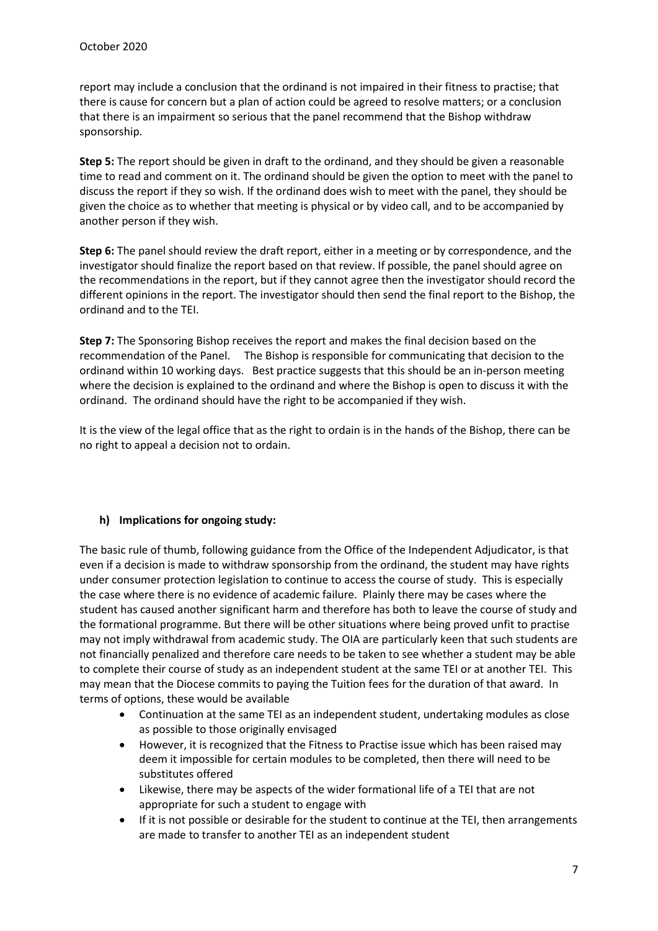report may include a conclusion that the ordinand is not impaired in their fitness to practise; that there is cause for concern but a plan of action could be agreed to resolve matters; or a conclusion that there is an impairment so serious that the panel recommend that the Bishop withdraw sponsorship.

Step 5: The report should be given in draft to the ordinand, and they should be given a reasonable time to read and comment on it. The ordinand should be given the option to meet with the panel to discuss the report if they so wish. If the ordinand does wish to meet with the panel, they should be given the choice as to whether that meeting is physical or by video call, and to be accompanied by another person if they wish.

Step 6: The panel should review the draft report, either in a meeting or by correspondence, and the investigator should finalize the report based on that review. If possible, the panel should agree on the recommendations in the report, but if they cannot agree then the investigator should record the different opinions in the report. The investigator should then send the final report to the Bishop, the ordinand and to the TEI.

Step 7: The Sponsoring Bishop receives the report and makes the final decision based on the recommendation of the Panel. The Bishop is responsible for communicating that decision to the ordinand within 10 working days. Best practice suggests that this should be an in-person meeting where the decision is explained to the ordinand and where the Bishop is open to discuss it with the ordinand. The ordinand should have the right to be accompanied if they wish.

It is the view of the legal office that as the right to ordain is in the hands of the Bishop, there can be no right to appeal a decision not to ordain.

# h) Implications for ongoing study:

The basic rule of thumb, following guidance from the Office of the Independent Adjudicator, is that even if a decision is made to withdraw sponsorship from the ordinand, the student may have rights under consumer protection legislation to continue to access the course of study. This is especially the case where there is no evidence of academic failure. Plainly there may be cases where the student has caused another significant harm and therefore has both to leave the course of study and the formational programme. But there will be other situations where being proved unfit to practise may not imply withdrawal from academic study. The OIA are particularly keen that such students are not financially penalized and therefore care needs to be taken to see whether a student may be able to complete their course of study as an independent student at the same TEI or at another TEI. This may mean that the Diocese commits to paying the Tuition fees for the duration of that award. In terms of options, these would be available

- Continuation at the same TEI as an independent student, undertaking modules as close as possible to those originally envisaged
- However, it is recognized that the Fitness to Practise issue which has been raised may deem it impossible for certain modules to be completed, then there will need to be substitutes offered
- Likewise, there may be aspects of the wider formational life of a TEI that are not appropriate for such a student to engage with
- If it is not possible or desirable for the student to continue at the TEI, then arrangements are made to transfer to another TEI as an independent student